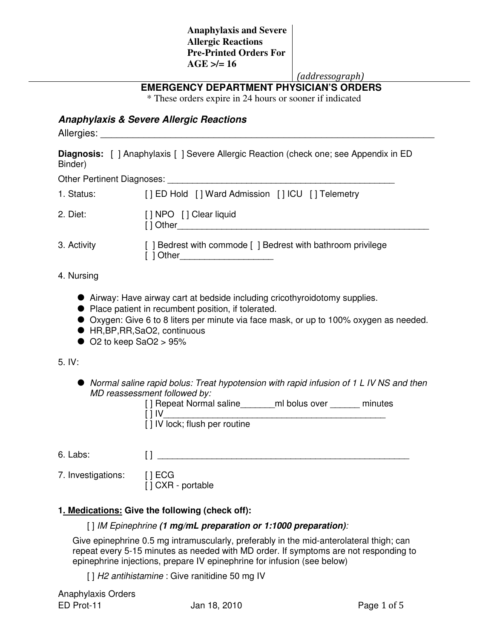(addressograph)

# **EMERGENCY DEPARTMENT PHYSICIAN'S ORDERS**

\* These orders expire in 24 hours or sooner if indicated

### **Anaphylaxis & Severe Allergic Reactions**

Allergies:

**Diagnosis:** [ ] Anaphylaxis [ ] Severe Allergic Reaction (check one; see Appendix in ED Binder)

| <b>Other Pertinent Diagnoses:</b> |  |
|-----------------------------------|--|
|                                   |  |

| 1. Status:  | [] ED Hold [] Ward Admission [] ICU [] Telemetry                        |  |
|-------------|-------------------------------------------------------------------------|--|
| 2. Diet:    | [ ] NPO [ ] Clear liquid<br>[ ] Other                                   |  |
| 3. Activity | [] Bedrest with commode [] Bedrest with bathroom privilege<br>[ ] Other |  |

- 4. Nursing
	- Airway: Have airway cart at bedside including cricothyroidotomy supplies.
	- Place patient in recumbent position, if tolerated.
	- Oxygen: Give 6 to 8 liters per minute via face mask, or up to 100% oxygen as needed.
	- HR, BP, RR, SaO2, continuous
	- $\bullet$  O2 to keep SaO2 > 95%

#### 5. IV:

 Normal saline rapid bolus: Treat hypotension with rapid infusion of 1 L IV NS and then MD reassessment followed by:

| [] Repeat Normal saline       | ml bolus over | minutes |
|-------------------------------|---------------|---------|
| [] IV                         |               |         |
| [] IV lock; flush per routine |               |         |

- 6. Labs: [ ]
- 7. Investigations: [ ] ECG  $\overline{[}$   $\overline{]}$  CXR - portable

# **1. Medications: Give the following (check off):**

#### [ ] IM Epinephrine **(1 mg/mL preparation or 1:1000 preparation)**:

Give epinephrine 0.5 mg intramuscularly, preferably in the mid-anterolateral thigh; can repeat every 5-15 minutes as needed with MD order. If symptoms are not responding to epinephrine injections, prepare IV epinephrine for infusion (see below)

[] H2 antihistamine : Give ranitidine 50 mg IV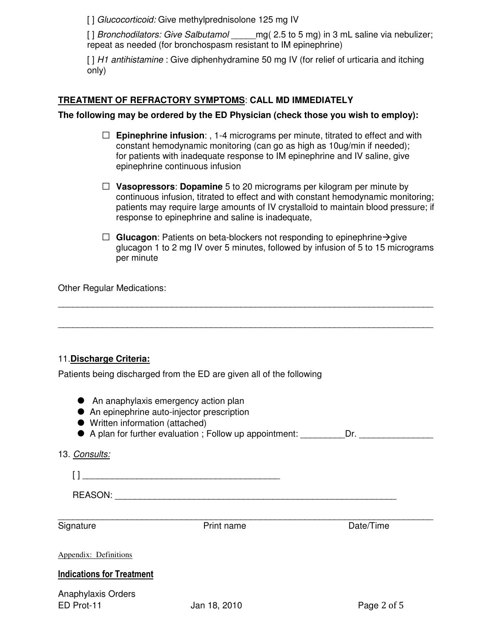[] Glucocorticoid: Give methylprednisolone 125 mg IV

[ ] Bronchodilators: Give Salbutamol mg( 2.5 to 5 mg) in 3 mL saline via nebulizer; repeat as needed (for bronchospasm resistant to IM epinephrine)

[ ] H1 antihistamine : Give diphenhydramine 50 mg IV (for relief of urticaria and itching only)

## **TREATMENT OF REFRACTORY SYMPTOMS**: **CALL MD IMMEDIATELY**

### **The following may be ordered by the ED Physician (check those you wish to employ):**

- □ **Epinephrine infusion**: , 1-4 micrograms per minute, titrated to effect and with constant hemodynamic monitoring (can go as high as 10ug/min if needed); for patients with inadequate response to IM epinephrine and IV saline, give epinephrine continuous infusion
- □ **Vasopressors**: **Dopamine** 5 to 20 micrograms per kilogram per minute by continuous infusion, titrated to effect and with constant hemodynamic monitoring; patients may require large amounts of IV crystalloid to maintain blood pressure; if response to epinephrine and saline is inadequate,
- $\Box$  **Glucagon**: Patients on beta-blockers not responding to epinephrine  $\rightarrow$  give glucagon 1 to 2 mg IV over 5 minutes, followed by infusion of 5 to 15 micrograms per minute

Other Regular Medications:

# 11.**Discharge Criteria:**

Patients being discharged from the ED are given all of the following

- An anaphylaxis emergency action plan
- An epinephrine auto-injector prescription
- Written information (attached)
- A plan for further evaluation ; Follow up appointment: Dr.

\_\_\_\_\_\_\_\_\_\_\_\_\_\_\_\_\_\_\_\_\_\_\_\_\_\_\_\_\_\_\_\_\_\_\_\_\_\_\_\_\_\_\_\_\_\_\_\_\_\_\_\_\_\_\_\_\_\_\_\_\_\_\_\_\_\_\_\_\_\_\_\_\_\_\_\_

\_\_\_\_\_\_\_\_\_\_\_\_\_\_\_\_\_\_\_\_\_\_\_\_\_\_\_\_\_\_\_\_\_\_\_\_\_\_\_\_\_\_\_\_\_\_\_\_\_\_\_\_\_\_\_\_\_\_\_\_\_\_\_\_\_\_\_\_\_\_\_\_\_\_\_\_

13. Consults:

[ ] \_\_\_\_\_\_\_\_\_\_\_\_\_\_\_\_\_\_\_\_\_\_\_\_\_\_\_\_\_\_\_\_\_\_\_\_\_\_\_\_ REASON: \_\_\_\_\_\_\_\_\_\_\_\_\_\_\_\_\_\_\_\_\_\_\_\_\_\_\_\_\_\_\_\_\_\_\_\_\_\_\_\_\_\_\_\_\_\_\_\_\_\_\_\_\_\_\_\_\_

\_\_\_\_\_\_\_\_\_\_\_\_\_\_\_\_\_\_\_\_\_\_\_\_\_\_\_\_\_\_\_\_\_\_\_\_\_\_\_\_\_\_\_\_\_\_\_\_\_\_\_\_\_\_\_\_\_\_\_\_\_\_\_\_\_\_\_\_\_\_\_\_\_\_\_\_

Signature **Print name** Print name Date/Time

Appendix: Definitions

#### Indications for Treatment

Anaphylaxis Orders ED Prot-11 Jan 18, 2010 Page 2 of 5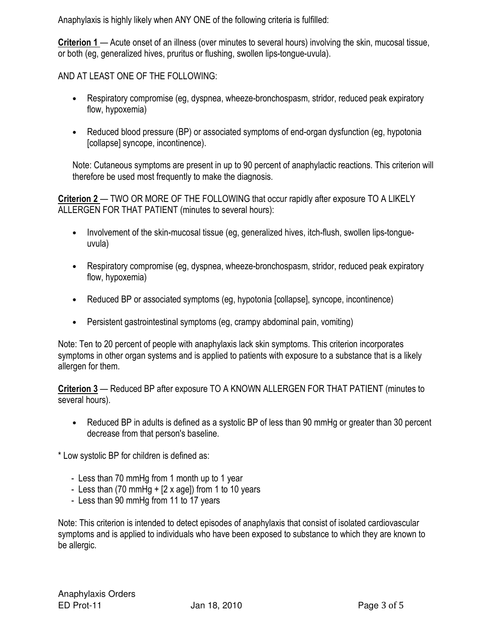Anaphylaxis is highly likely when ANY ONE of the following criteria is fulfilled:

Criterion 1 — Acute onset of an illness (over minutes to several hours) involving the skin, mucosal tissue, or both (eg, generalized hives, pruritus or flushing, swollen lips-tongue-uvula).

AND AT LEAST ONE OF THE FOLLOWING:

- Respiratory compromise (eg, dyspnea, wheeze-bronchospasm, stridor, reduced peak expiratory flow, hypoxemia)
- Reduced blood pressure (BP) or associated symptoms of end-organ dysfunction (eg, hypotonia [collapse] syncope, incontinence).

Note: Cutaneous symptoms are present in up to 90 percent of anaphylactic reactions. This criterion will therefore be used most frequently to make the diagnosis.

Criterion 2 — TWO OR MORE OF THE FOLLOWING that occur rapidly after exposure TO A LIKELY ALLERGEN FOR THAT PATIENT (minutes to several hours):

- Involvement of the skin-mucosal tissue (eg, generalized hives, itch-flush, swollen lips-tongueuvula)
- Respiratory compromise (eg, dyspnea, wheeze-bronchospasm, stridor, reduced peak expiratory flow, hypoxemia)
- Reduced BP or associated symptoms (eg, hypotonia [collapse], syncope, incontinence)
- Persistent gastrointestinal symptoms (eg, crampy abdominal pain, vomiting)

Note: Ten to 20 percent of people with anaphylaxis lack skin symptoms. This criterion incorporates symptoms in other organ systems and is applied to patients with exposure to a substance that is a likely allergen for them.

Criterion 3 — Reduced BP after exposure TO A KNOWN ALLERGEN FOR THAT PATIENT (minutes to several hours).

• Reduced BP in adults is defined as a systolic BP of less than 90 mmHg or greater than 30 percent decrease from that person's baseline.

\* Low systolic BP for children is defined as:

- Less than 70 mmHg from 1 month up to 1 year
- Less than (70 mmHg  $+$  [2 x age]) from 1 to 10 years
- Less than 90 mmHg from 11 to 17 years

Note: This criterion is intended to detect episodes of anaphylaxis that consist of isolated cardiovascular symptoms and is applied to individuals who have been exposed to substance to which they are known to be allergic.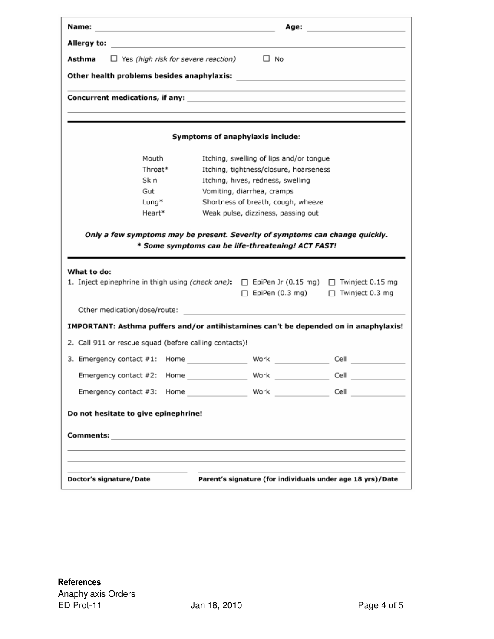| Name:                                                                                                            | Age: |                                                            |      |  |  |  |
|------------------------------------------------------------------------------------------------------------------|------|------------------------------------------------------------|------|--|--|--|
| Allergy to:                                                                                                      |      |                                                            |      |  |  |  |
| $\Box$ Yes (high risk for severe reaction) $\Box$ No<br>Asthma                                                   |      |                                                            |      |  |  |  |
|                                                                                                                  |      |                                                            |      |  |  |  |
| and the control of the control of the control of the control of the control of the control of the control of the |      |                                                            |      |  |  |  |
|                                                                                                                  |      |                                                            |      |  |  |  |
|                                                                                                                  |      |                                                            |      |  |  |  |
| Symptoms of anaphylaxis include:                                                                                 |      |                                                            |      |  |  |  |
| Mouth                                                                                                            |      | Itching, swelling of lips and/or tongue                    |      |  |  |  |
| Throat*                                                                                                          |      | Itching, tightness/closure, hoarseness                     |      |  |  |  |
| Skin                                                                                                             |      | Itching, hives, redness, swelling                          |      |  |  |  |
| Gut                                                                                                              |      | Vomiting, diarrhea, cramps                                 |      |  |  |  |
| Lung*                                                                                                            |      | Shortness of breath, cough, wheeze                         |      |  |  |  |
| Heart*                                                                                                           |      | Weak pulse, dizziness, passing out                         |      |  |  |  |
| What to do:<br>1. Inject epinephrine in thigh using (check one): □ EpiPen Jr (0.15 mg) □ Twinject 0.15 mg        |      | EpiPen (0.3 mg) □ Twinject 0.3 mg<br>п.                    |      |  |  |  |
| Other medication/dose/route:                                                                                     |      |                                                            |      |  |  |  |
| IMPORTANT: Asthma puffers and/or antihistamines can't be depended on in anaphylaxis!                             |      |                                                            |      |  |  |  |
| 2. Call 911 or rescue squad (before calling contacts)!                                                           |      |                                                            |      |  |  |  |
| 3. Emergency contact #1: Home                                                                                    |      | Work <b>All American Structure</b>                         | Cell |  |  |  |
| Emergency contact #2: Home                                                                                       |      | Work                                                       | Cell |  |  |  |
|                                                                                                                  |      |                                                            | Cell |  |  |  |
| Do not hesitate to give epinephrine!                                                                             |      |                                                            |      |  |  |  |
|                                                                                                                  |      |                                                            |      |  |  |  |
|                                                                                                                  |      |                                                            |      |  |  |  |
|                                                                                                                  |      |                                                            |      |  |  |  |
|                                                                                                                  |      |                                                            |      |  |  |  |
| Doctor's signature/ Date                                                                                         |      | Parent's signature (for individuals under age 18 yrs)/Date |      |  |  |  |